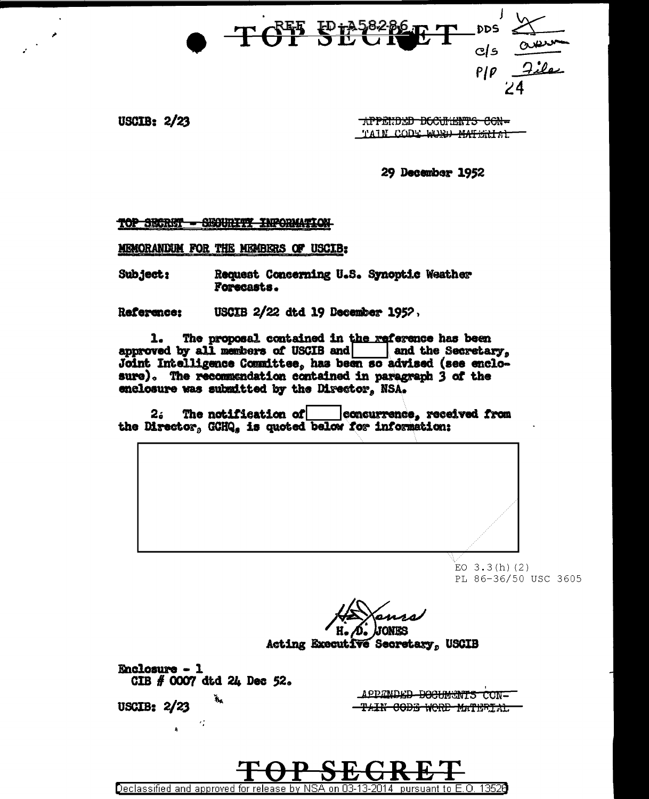TOT SECRET  $DDS$  $c/s$   $\frac{\Delta t}{2}$ <br> $c/s$   $\frac{\Delta t}{2}$ 

**USCIB: 2/23** 

**APPENDED DOCUMENTS CON-**TAIN CODE WORD MATERIAL

29 December 1952

## TOP SECRET - SEOURITY INFORMATION

MEMORANDUM FOR THE MEMBERS OF USCIB:

Subject: Request Concerning U.S. Synoptic Weather Forecasts.

USCIB 2/22 dtd 19 December 1952, Reference:

Declassified and approved for release by NSA on 03-13-2014.

1. The proposal contained in the reference has been approved by all members of USCIB and and the Secretary, Joint Intelligence Committee, has been so advised (see enclosure). The recommendation contained in paragraph 3 of the enclosure was submitted by the Director. NSA.

The notification of  $2.5$ concurrence, received from the Director, GCHQ, is quoted below for information:



pursuant to E.O. 13526